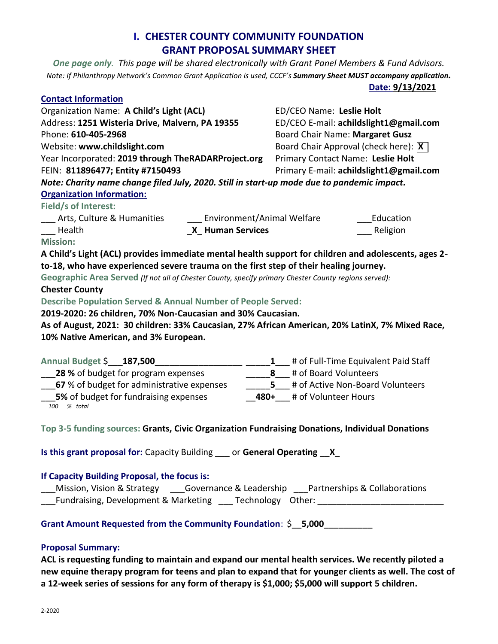# **I. CHESTER COUNTY COMMUNITY FOUNDATION GRANT PROPOSAL SUMMARY SHEET**

*One page only. This page will be shared electronically with Grant Panel Members & Fund Advisors. Note: If Philanthropy Network's Common Grant Application is used, CCCF's Summary Sheet MUST accompany application.*

**Date: 9/13/2021**

| <b>Contact Information</b>                                                                                                                                                                                                                                     |                                                                                  |                                                                                                  |  |
|----------------------------------------------------------------------------------------------------------------------------------------------------------------------------------------------------------------------------------------------------------------|----------------------------------------------------------------------------------|--------------------------------------------------------------------------------------------------|--|
| Organization Name: A Child's Light (ACL)                                                                                                                                                                                                                       | ED/CEO Name: Leslie Holt                                                         |                                                                                                  |  |
| Address: 1251 Wisteria Drive, Malvern, PA 19355                                                                                                                                                                                                                | ED/CEO E-mail: achildslight1@gmail.com                                           |                                                                                                  |  |
| Phone: 610-405-2968                                                                                                                                                                                                                                            | Board Chair Name: Margaret Gusz                                                  |                                                                                                  |  |
| Website: www.childslight.com                                                                                                                                                                                                                                   | Board Chair Approval (check here): X                                             |                                                                                                  |  |
| Year Incorporated: 2019 through TheRADARProject.org                                                                                                                                                                                                            | Primary Contact Name: Leslie Holt                                                |                                                                                                  |  |
| FEIN: 811896477; Entity #7150493                                                                                                                                                                                                                               | Primary E-mail: achildslight1@gmail.com                                          |                                                                                                  |  |
| Note: Charity name change filed July, 2020. Still in start-up mode due to pandemic impact.                                                                                                                                                                     |                                                                                  |                                                                                                  |  |
| <b>Organization Information:</b>                                                                                                                                                                                                                               |                                                                                  |                                                                                                  |  |
| Field/s of Interest:                                                                                                                                                                                                                                           |                                                                                  |                                                                                                  |  |
| Arts, Culture & Humanities                                                                                                                                                                                                                                     | Environment/Animal Welfare<br>Education                                          |                                                                                                  |  |
| Health<br><b>X</b> Human Services                                                                                                                                                                                                                              | Religion                                                                         |                                                                                                  |  |
| <b>Mission:</b>                                                                                                                                                                                                                                                |                                                                                  |                                                                                                  |  |
| A Child's Light (ACL) provides immediate mental health support for children and adolescents, ages 2-                                                                                                                                                           |                                                                                  |                                                                                                  |  |
| to-18, who have experienced severe trauma on the first step of their healing journey.                                                                                                                                                                          |                                                                                  |                                                                                                  |  |
| Geographic Area Served (If not all of Chester County, specify primary Chester County regions served):<br><b>Chester County</b><br>Describe Population Served & Annual Number of People Served:<br>2019-2020: 26 children, 70% Non-Caucasian and 30% Caucasian. |                                                                                  |                                                                                                  |  |
|                                                                                                                                                                                                                                                                |                                                                                  | As of August, 2021: 30 children: 33% Caucasian, 27% African American, 20% LatinX, 7% Mixed Race, |  |
|                                                                                                                                                                                                                                                                |                                                                                  | 10% Native American, and 3% European.                                                            |  |
|                                                                                                                                                                                                                                                                |                                                                                  |                                                                                                  |  |
| Annual Budget \$187,500                                                                                                                                                                                                                                        | 1 # of Full-Time Equivalent Paid Staff                                           |                                                                                                  |  |
| 28 % of budget for program expenses                                                                                                                                                                                                                            | 8 # of Board Volunteers                                                          |                                                                                                  |  |
| 67 % of budget for administrative expenses                                                                                                                                                                                                                     | 5 # of Active Non-Board Volunteers                                               |                                                                                                  |  |
| 5% of budget for fundraising expenses                                                                                                                                                                                                                          | 480+ # of Volunteer Hours                                                        |                                                                                                  |  |
| 100<br>% total                                                                                                                                                                                                                                                 |                                                                                  |                                                                                                  |  |
|                                                                                                                                                                                                                                                                |                                                                                  |                                                                                                  |  |
| Top 3-5 funding sources: Grants, Civic Organization Fundraising Donations, Individual Donations                                                                                                                                                                |                                                                                  |                                                                                                  |  |
|                                                                                                                                                                                                                                                                |                                                                                  |                                                                                                  |  |
| Is this grant proposal for: Capacity Building or General Operating X                                                                                                                                                                                           |                                                                                  |                                                                                                  |  |
|                                                                                                                                                                                                                                                                |                                                                                  |                                                                                                  |  |
| If Capacity Building Proposal, the focus is:                                                                                                                                                                                                                   |                                                                                  |                                                                                                  |  |
| Mission, Vision & Strategy ______Governance & Leadership _____Partnerships & Collaborations                                                                                                                                                                    |                                                                                  |                                                                                                  |  |
|                                                                                                                                                                                                                                                                | Fundraising, Development & Marketing ____ Technology Other: ____________________ |                                                                                                  |  |
| Grant Amount Requested from the Community Foundation: \$ 5,000                                                                                                                                                                                                 |                                                                                  |                                                                                                  |  |
|                                                                                                                                                                                                                                                                |                                                                                  |                                                                                                  |  |
| <b>Proposal Summary:</b>                                                                                                                                                                                                                                       |                                                                                  |                                                                                                  |  |

**ACL is requesting funding to maintain and expand our mental health services. We recently piloted a new equine therapy program for teens and plan to expand that for younger clients as well. The cost of a 12-week series of sessions for any form of therapy is \$1,000; \$5,000 will support 5 children.**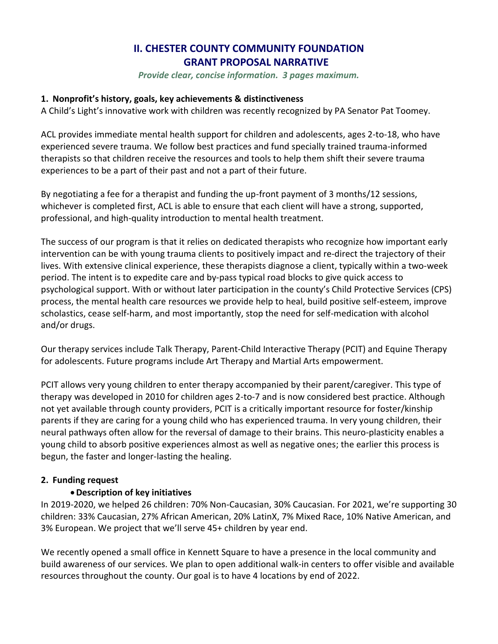# **II. CHESTER COUNTY COMMUNITY FOUNDATION GRANT PROPOSAL NARRATIVE**

*Provide clear, concise information. 3 pages maximum.* 

### **1. Nonprofit's history, goals, key achievements & distinctiveness**

A Child's Light's innovative work with children was recently recognized by PA Senator Pat Toomey.

ACL provides immediate mental health support for children and adolescents, ages 2-to-18, who have experienced severe trauma. We follow best practices and fund specially trained trauma-informed therapists so that children receive the resources and tools to help them shift their severe trauma experiences to be a part of their past and not a part of their future.

By negotiating a fee for a therapist and funding the up-front payment of 3 months/12 sessions, whichever is completed first, ACL is able to ensure that each client will have a strong, supported, professional, and high-quality introduction to mental health treatment.

The success of our program is that it relies on dedicated therapists who recognize how important early intervention can be with young trauma clients to positively impact and re-direct the trajectory of their lives. With extensive clinical experience, these therapists diagnose a client, typically within a two-week period. The intent is to expedite care and by-pass typical road blocks to give quick access to psychological support. With or without later participation in the county's Child Protective Services (CPS) process, the mental health care resources we provide help to heal, build positive self-esteem, improve scholastics, cease self-harm, and most importantly, stop the need for self-medication with alcohol and/or drugs.

Our therapy services include Talk Therapy, Parent-Child Interactive Therapy (PCIT) and Equine Therapy for adolescents. Future programs include Art Therapy and Martial Arts empowerment.

PCIT allows very young children to enter therapy accompanied by their parent/caregiver. This type of therapy was developed in 2010 for children ages 2-to-7 and is now considered best practice. Although not yet available through county providers, PCIT is a critically important resource for foster/kinship parents if they are caring for a young child who has experienced trauma. In very young children, their neural pathways often allow for the reversal of damage to their brains. This neuro-plasticity enables a young child to absorb positive experiences almost as well as negative ones; the earlier this process is begun, the faster and longer-lasting the healing.

### **2. Funding request**

### **Description of key initiatives**

In 2019-2020, we helped 26 children: 70% Non-Caucasian, 30% Caucasian. For 2021, we're supporting 30 children: 33% Caucasian, 27% African American, 20% LatinX, 7% Mixed Race, 10% Native American, and 3% European. We project that we'll serve 45+ children by year end.

We recently opened a small office in Kennett Square to have a presence in the local community and build awareness of our services. We plan to open additional walk-in centers to offer visible and available resources throughout the county. Our goal is to have 4 locations by end of 2022.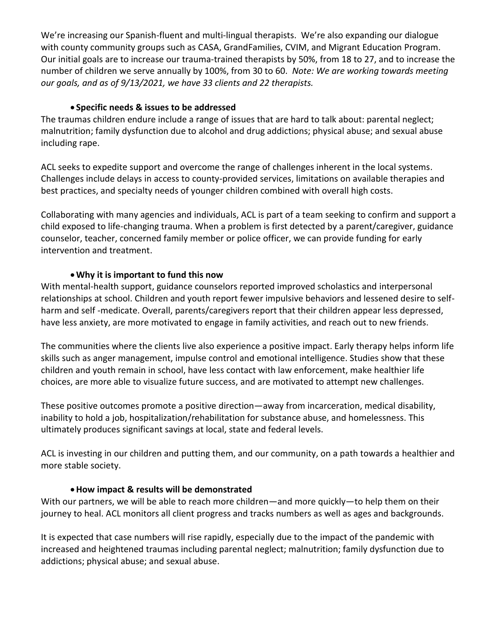We're increasing our Spanish-fluent and multi-lingual therapists. We're also expanding our dialogue with county community groups such as CASA, GrandFamilies, CVIM, and Migrant Education Program. Our initial goals are to increase our trauma-trained therapists by 50%, from 18 to 27, and to increase the number of children we serve annually by 100%, from 30 to 60. *Note: We are working towards meeting our goals, and as of 9/13/2021, we have 33 clients and 22 therapists.*

### **Specific needs & issues to be addressed**

The traumas children endure include a range of issues that are hard to talk about: parental neglect; malnutrition; family dysfunction due to alcohol and drug addictions; physical abuse; and sexual abuse including rape.

ACL seeks to expedite support and overcome the range of challenges inherent in the local systems. Challenges include delays in access to county-provided services, limitations on available therapies and best practices, and specialty needs of younger children combined with overall high costs.

Collaborating with many agencies and individuals, ACL is part of a team seeking to confirm and support a child exposed to life-changing trauma. When a problem is first detected by a parent/caregiver, guidance counselor, teacher, concerned family member or police officer, we can provide funding for early intervention and treatment.

## **Why it is important to fund this now**

With mental-health support, guidance counselors reported improved scholastics and interpersonal relationships at school. Children and youth report fewer impulsive behaviors and lessened desire to selfharm and self -medicate. Overall, parents/caregivers report that their children appear less depressed, have less anxiety, are more motivated to engage in family activities, and reach out to new friends.

The communities where the clients live also experience a positive impact. Early therapy helps inform life skills such as anger management, impulse control and emotional intelligence. Studies show that these children and youth remain in school, have less contact with law enforcement, make healthier life choices, are more able to visualize future success, and are motivated to attempt new challenges.

These positive outcomes promote a positive direction—away from incarceration, medical disability, inability to hold a job, hospitalization/rehabilitation for substance abuse, and homelessness. This ultimately produces significant savings at local, state and federal levels.

ACL is investing in our children and putting them, and our community, on a path towards a healthier and more stable society.

## **How impact & results will be demonstrated**

With our partners, we will be able to reach more children—and more quickly—to help them on their journey to heal. ACL monitors all client progress and tracks numbers as well as ages and backgrounds.

It is expected that case numbers will rise rapidly, especially due to the impact of the pandemic with increased and heightened traumas including parental neglect; malnutrition; family dysfunction due to addictions; physical abuse; and sexual abuse.